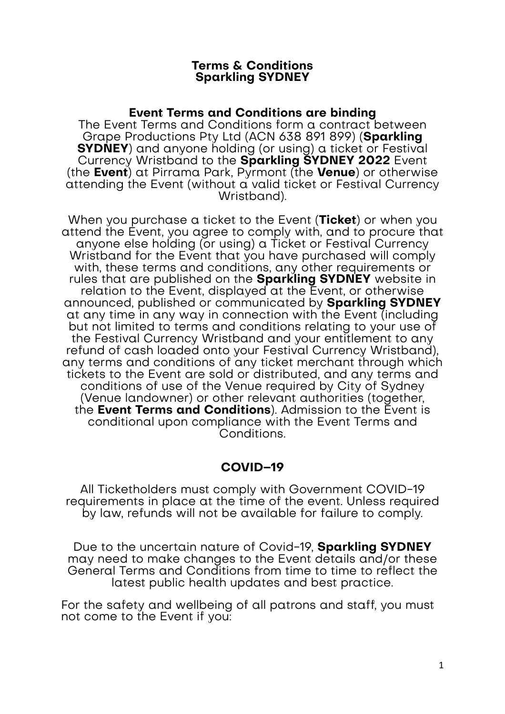### **Terms & Conditions Sparkling SYDNEY**

## **Event Terms and Conditions are binding**

The Event Terms and Conditions form a contract between Grape Productions Pty Ltd (ACN 638 891 899) (**Sparkling SYDNEY**) and anyone holding (or using) a ticket or Festival Currency Wristband to the **Sparkling SYDNEY 2022** Event (the **Event**) at Pirrama Park, Pyrmont (the **Venue**) or otherwise attending the Event (without a valid ticket or Festival Currency Wristband).

When you purchase a ticket to the Event (**Ticket**) or when you attend the Event, you agree to comply with, and to procure that anyone else holding (or using) a Ticket or Festival Currency Wristband for the Event that you have purchased will comply with, these terms and conditions, any other requirements or rules that are published on the **Sparkling SYDNEY** website in relation to the Event, displayed at the Event, or otherwise announced, published or communicated by **Sparkling SYDNEY** at any time in any way in connection with the Event (including but not limited to terms and conditions relating to your use of the Festival Currency Wristband and your entitlement to any refund of cash loaded onto your Festival Currency Wristband), any terms and conditions of any ticket merchant through which tickets to the Event are sold or distributed, and any terms and conditions of use of the Venue required by City of Sydney (Venue landowner) or other relevant authorities (together, the **Event Terms and Conditions**). Admission to the Event is conditional upon compliance with the Event Terms and Conditions.

# **COVID–19**

All Ticketholders must comply with Government COVID-19 requirements in place at the time of the event. Unless required by law, refunds will not be available for failure to comply.

Due to the uncertain nature of Covid-19, **Sparkling SYDNEY** may need to make changes to the Event details and/or these General Terms and Conditions from time to time to reflect the latest public health updates and best practice.

For the safety and wellbeing of all patrons and staff, you must not come to the Event if you: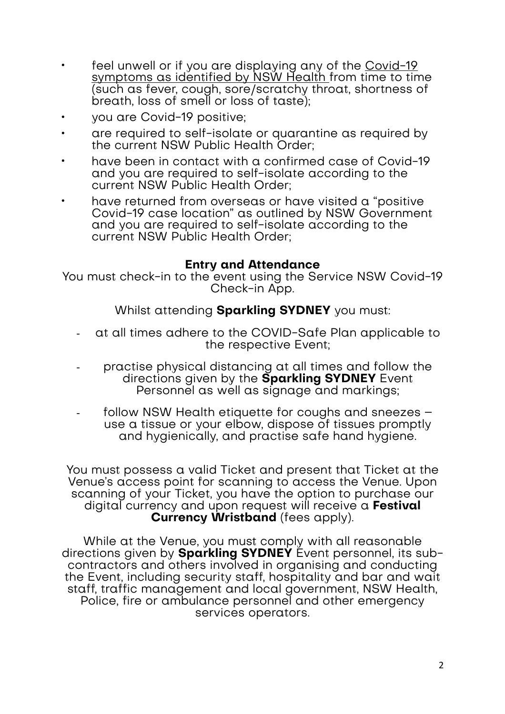- feel unwell or if you are displaying any of the Covid-19 [symptoms as identified by NSW Health f](https://www.nsw.gov.au/covid-19/symptoms-and-testing)rom time to time (such as fever, cough, sore/scratchy throat, shortness of breath, loss of smell or loss of taste);
- you are Covid-19 positive;
- are required to self-isolate or quarantine as required by the current NSW Public Health Order;
- have been in contact with a confirmed case of Covid-19 and you are required to self-isolate according to the current NSW Public Health Order:
- have returned from overseas or have visited a "positive" Covid-19 case location" as outlined by NSW Government and you are required to self-isolate according to the current NSW Public Health Order;

# **Entry and Attendance**

You must check-in to the event using the Service NSW Covid-19 Check-in App.

Whilst attending **Sparkling SYDNEY** you must:

- at all times adhere to the COVID-Safe Plan applicable to the respective Event;
- practise physical distancing at all times and follow the directions given by the **Sparkling SYDNEY** Event Personnel as well as signage and markings;
- follow NSW Health etiquette for coughs and sneezes use a tissue or your elbow, dispose of tissues promptly and hygienically, and practise safe hand hygiene.

You must possess a valid Ticket and present that Ticket at the Venue's access point for scanning to access the Venue. Upon scanning of your Ticket, you have the option to purchase our digital currency and upon request will receive a **Festival Currency Wristband** (fees apply).

While at the Venue, you must comply with all reasonable directions given by **Sparkling SYDNEY** Event personnel, its subcontractors and others involved in organising and conducting the Event, including security staff, hospitality and bar and wait staff, traffic management and local government, NSW Health, Police, fire or ambulance personnel and other emergency services operators.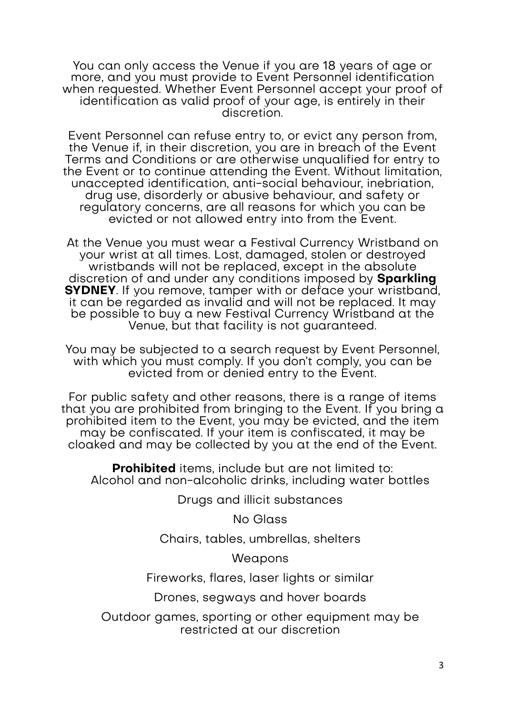You can only access the Venue if you are 18 years of age or more, and you must provide to Event Personnel identification when requested. Whether Event Personnel accept your proof of identification as valid proof of your age, is entirely in their discretion.

Event Personnel can refuse entry to, or evict any person from, the Venue if, in their discretion, you are in breach of the Event Terms and Conditions or are otherwise unqualified for entry to the Event or to continue attending the Event. Without limitation, unaccepted identification, anti-social behaviour, inebriation, drug use, disorderly or abusive behaviour, and safety or regulatory concerns, are all reasons for which you can be evicted or not allowed entry into from the Event.

At the Venue you must wear a Festival Currency Wristband on your wrist at all times. Lost, damaged, stolen or destroyed wristbands will not be replaced, except in the absolute discretion of and under any conditions imposed by **Sparkling SYDNEY**. If you remove, tamper with or deface your wristband, it can be regarded as invalid and will not be replaced. It may be possible to buy a new Festival Currency Wristband at the Venue, but that facility is not guaranteed.

You may be subjected to a search request by Event Personnel, with which you must comply. If you don't comply, you can be evicted from or denied entry to the Event.

For public safety and other reasons, there is a range of items that you are prohibited from bringing to the Event. If you bring a prohibited item to the Event, you may be evicted, and the item may be confiscated. If your item is confiscated, it may be cloaked and may be collected by you at the end of the Event.

**Prohibited** items, include but are not limited to: Alcohol and non-alcoholic drinks, including water bottles

Drugs and illicit substances

No Glass

Chairs, tables, umbrellas, shelters

Weapons

Fireworks, flares, laser lights or similar

Drones, segways and hover boards

Outdoor games, sporting or other equipment may be restricted at our discretion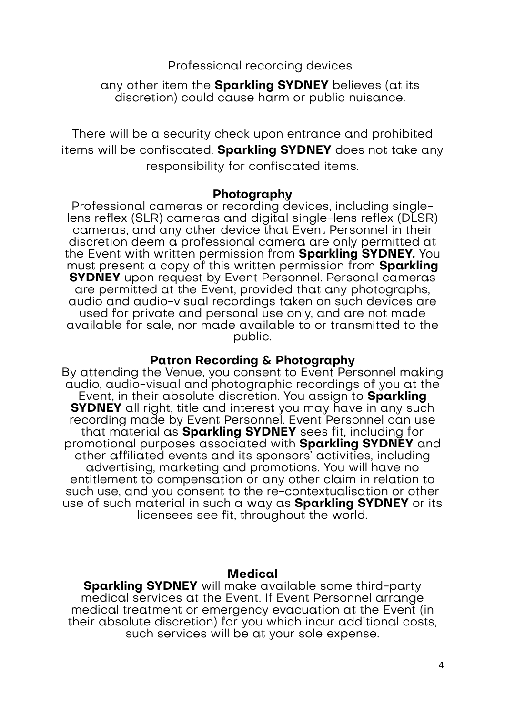Professional recording devices

any other item the **Sparkling SYDNEY** believes (at its discretion) could cause harm or public nuisance.

There will be a security check upon entrance and prohibited items will be confiscated. **Sparkling SYDNEY** does not take any responsibility for confiscated items.

### **Photography**

Professional cameras or recording devices, including singlelens reflex (SLR) cameras and digital single-lens reflex (DLSR) cameras, and any other device that Event Personnel in their discretion deem a professional camera are only permitted at the Event with written permission from **Sparkling SYDNEY.** You must present a copy of this written permission from **Sparkling SYDNEY** upon request by Event Personnel. Personal cameras are permitted at the Event, provided that any photographs, audio and audio-visual recordings taken on such devices are used for private and personal use only, and are not made available for sale, nor made available to or transmitted to the public.

## **Patron Recording & Photography**

By attending the Venue, you consent to Event Personnel making audio, audio-visual and photographic recordings of you at the Event, in their absolute discretion. You assign to **Sparkling SYDNEY** all right, title and interest you may have in any such recording made by Event Personnel. Event Personnel can use that material as **Sparkling SYDNEY** sees fit, including for promotional purposes associated with **Sparkling SYDNEY** and other affiliated events and its sponsors' activities, including advertising, marketing and promotions. You will have no entitlement to compensation or any other claim in relation to such use, and you consent to the re-contextualisation or other use of such material in such a way as **Sparkling SYDNEY** or its licensees see fit, throughout the world.

#### **Medical**

**Sparkling SYDNEY** will make available some third-party medical services at the Event. If Event Personnel arrange medical treatment or emergency evacuation at the Event (in their absolute discretion) for you which incur additional costs, such services will be at your sole expense.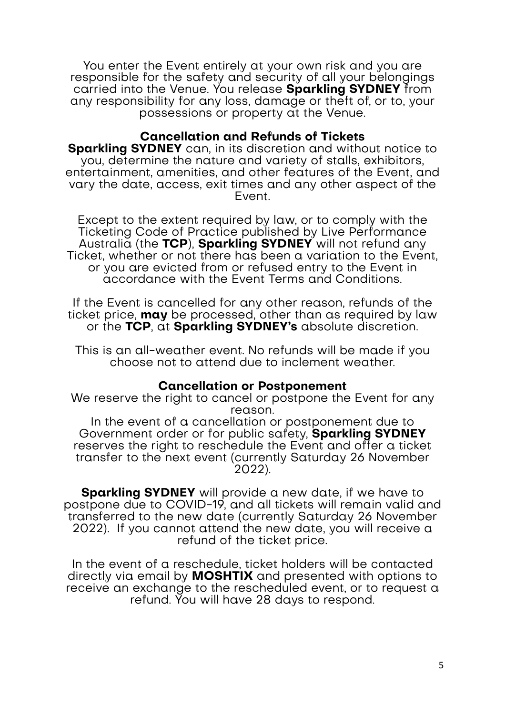You enter the Event entirely at your own risk and you are responsible for the safety and security of all your belongings carried into the Venue. You release **Sparkling SYDNEY** from any responsibility for any loss, damage or theft of, or to, your possessions or property at the Venue.

## **Cancellation and Refunds of Tickets**

**Sparkling SYDNEY** can, in its discretion and without notice to you, determine the nature and variety of stalls, exhibitors, entertainment, amenities, and other features of the Event, and vary the date, access, exit times and any other aspect of the Event.

Except to the extent required by law, or to comply with the Ticketing Code of Practice published by Live Performance Australia (the **TCP**), **Sparkling SYDNEY** will not refund any Ticket, whether or not there has been a variation to the Event, or you are evicted from or refused entry to the Event in accordance with the Event Terms and Conditions.

If the Event is cancelled for any other reason, refunds of the ticket price, **may** be processed, other than as required by law or the **TCP**, at **Sparkling SYDNEY's** absolute discretion.

This is an all-weather event. No refunds will be made if you choose not to attend due to inclement weather.

#### **Cancellation or Postponement**

We reserve the right to cancel or postpone the Event for any reason.

In the event of a cancellation or postponement due to Government order or for public safety, **Sparkling SYDNEY** reserves the right to reschedule the Event and offer a ticket transfer to the next event (currently Saturday 26 November 2022).

**Sparkling SYDNEY** will provide a new date, if we have to postpone due to COVID-19, and all tickets will remain valid and transferred to the new date (currently Saturday 26 November 2022). If you cannot attend the new date, you will receive a refund of the ticket price.

In the event of a reschedule, ticket holders will be contacted directly via email by **MOSHTIX** and presented with options to receive an exchange to the rescheduled event, or to request a refund. You will have 28 days to respond.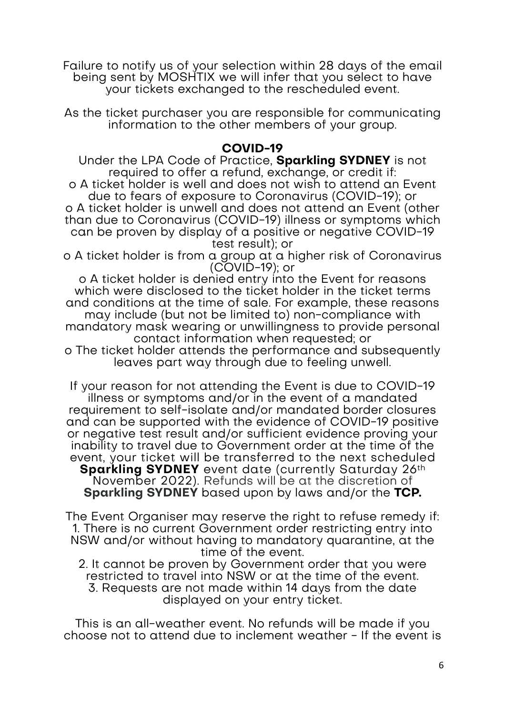Failure to notify us of your selection within 28 days of the email being sent by MOSHTIX we will infer that you select to have your tickets exchanged to the rescheduled event.

As the ticket purchaser you are responsible for communicating information to the other members of your group.

## **COVID-19**

Under the LPA Code of Practice, **Sparkling SYDNEY** is not required to offer a refund, exchange, or credit if: o A ticket holder is well and does not wish to attend an Event due to fears of exposure to Coronavirus (COVID-19); or o A ticket holder is unwell and does not attend an Event (other than due to Coronavirus (COVID-19) illness or symptoms which can be proven by display of a positive or negative COVID-19 test result); or

o A ticket holder is from a group at a higher risk of Coronavirus (COVID-19); or

o A ticket holder is denied entry into the Event for reasons which were disclosed to the ticket holder in the ticket terms and conditions at the time of sale. For example, these reasons may include (but not be limited to) non-compliance with mandatory mask wearing or unwillingness to provide personal contact information when requested; or

o The ticket holder attends the performance and subsequently leaves part way through due to feeling unwell.

If your reason for not attending the Event is due to COVID-19 illness or symptoms and/or in the event of a mandated requirement to self-isolate and/or mandated border closures and can be supported with the evidence of COVID-19 positive or negative test result and/or sufficient evidence proving your inability to travel due to Government order at the time of the event, your ticket will be transferred to the next scheduled **Sparkling SYDNEY** event date (currently Saturday 26th November 2022). Refunds will be at the discretion of **Sparkling SYDNEY** based upon by laws and/or the **TCP.**

The Event Organiser may reserve the right to refuse remedy if: 1. There is no current Government order restricting entry into NSW and/or without having to mandatory quarantine, at the time of the event.

2. It cannot be proven by Government order that you were restricted to travel into NSW or at the time of the event. 3. Requests are not made within 14 days from the date displayed on your entry ticket.

This is an all-weather event. No refunds will be made if you choose not to attend due to inclement weather - If the event is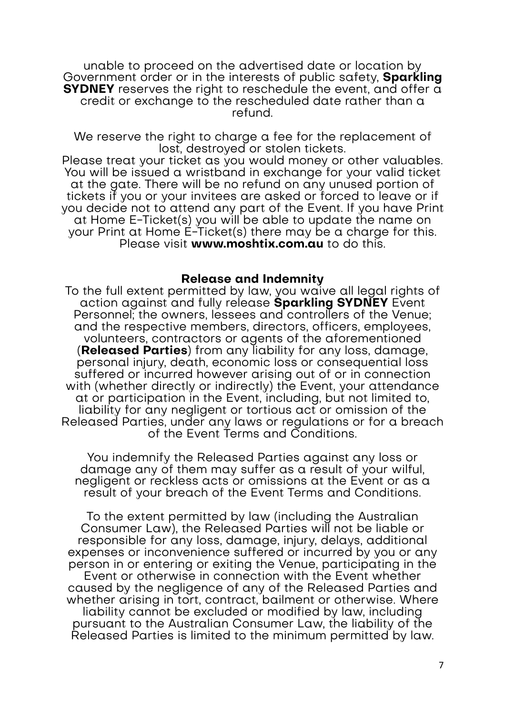unable to proceed on the advertised date or location by Government order or in the interests of public safety, **Sparkling SYDNEY** reserves the right to reschedule the event, and offer a credit or exchange to the rescheduled date rather than a refund.

We reserve the right to charge a fee for the replacement of lost, destroyed or stolen tickets.

Please treat your ticket as you would money or other valuables. You will be issued a wristband in exchange for your valid ticket at the gate. There will be no refund on any unused portion of tickets if you or your invitees are asked or forced to leave or if you decide not to attend any part of the Event. If you have Print at Home E-Ticket(s) you will be able to update the name on your Print at Home E-Ticket(s) there may be a charge for this. Please visit **www.moshtix.com.au** to do this.

#### **Release and Indemnity**

To the full extent permitted by law, you waive all legal rights of action against and fully release **Sparkling SYDNEY** Event Personnel; the owners, lessees and controllers of the Venue; and the respective members, directors, officers, employees, volunteers, contractors or agents of the aforementioned (**Released Parties**) from any liability for any loss, damage, personal injury, death, economic loss or consequential loss suffered or incurred however arising out of or in connection with (whether directly or indirectly) the Event, your attendance at or participation in the Event, including, but not limited to, liability for any negligent or tortious act or omission of the Released Parties, under any laws or regulations or for a breach of the Event Terms and Conditions.

You indemnify the Released Parties against any loss or damage any of them may suffer as a result of your wilful, negligent or reckless acts or omissions at the Event or as a result of your breach of the Event Terms and Conditions.

To the extent permitted by law (including the Australian Consumer Law), the Released Parties will not be liable or responsible for any loss, damage, injury, delays, additional expenses or inconvenience suffered or incurred by you or any person in or entering or exiting the Venue, participating in the Event or otherwise in connection with the Event whether caused by the negligence of any of the Released Parties and whether arising in tort, contract, bailment or otherwise. Where liability cannot be excluded or modified by law, including pursuant to the Australian Consumer Law, the liability of the Released Parties is limited to the minimum permitted by law.